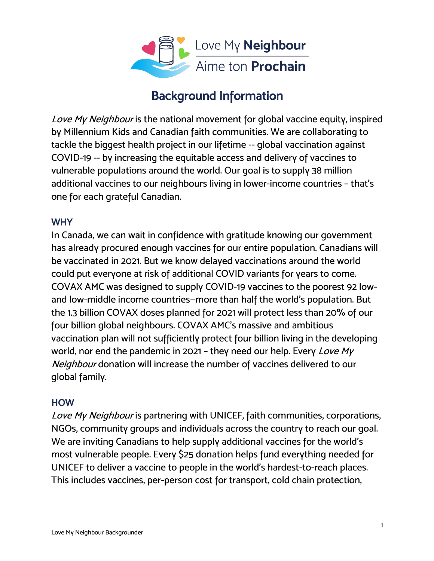

# Background Information

Love My Neighbour is the national movement for global vaccine equity, inspired by Millennium Kids and Canadian faith communities. We are collaborating to tackle the biggest health project in our lifetime -- global vaccination against COVID-19 -- by increasing the equitable access and delivery of vaccines to vulnerable populations around the world. Our goal is to supply 38 million additional vaccines to our neighbours living in lower-income countries – that's one for each grateful Canadian.

#### **WHY**

In Canada, we can wait in confidence with gratitude knowing our government has already procured enough vaccines for our entire population. Canadians will be vaccinated in 2021. But we know delayed vaccinations around the world could put everyone at risk of additional COVID variants for years to come. COVAX AMC was designed to supply COVID-19 vaccines to the poorest 92 lowand low-middle income countries—more than half the world's population. But the 1.3 billion COVAX doses planned for 2021 will protect less than 20% of our four billion global neighbours. COVAX AMC's massive and ambitious vaccination plan will not sufficiently protect four billion living in the developing world, nor end the pandemic in 2021 - they need our help. Every Love My Neighbour donation will increase the number of vaccines delivered to our global family.

### HOW

Love My Neighbour is partnering with UNICEF, faith communities, corporations, NGOs, community groups and individuals across the country to reach our goal. We are inviting Canadians to help supply additional vaccines for the world's most vulnerable people. Every \$25 donation helps fund everything needed for UNICEF to deliver a vaccine to people in the world's hardest-to-reach places. This includes vaccines, per-person cost for transport, cold chain protection,